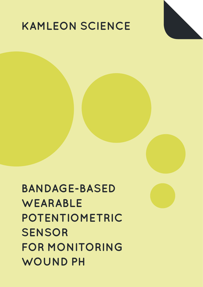## **KAMLEON SCIENCE**

**BANDAGE-BASED WEARABLE POTENTIOMETRIC SENSOR FOR MONITORING WOUND PH**